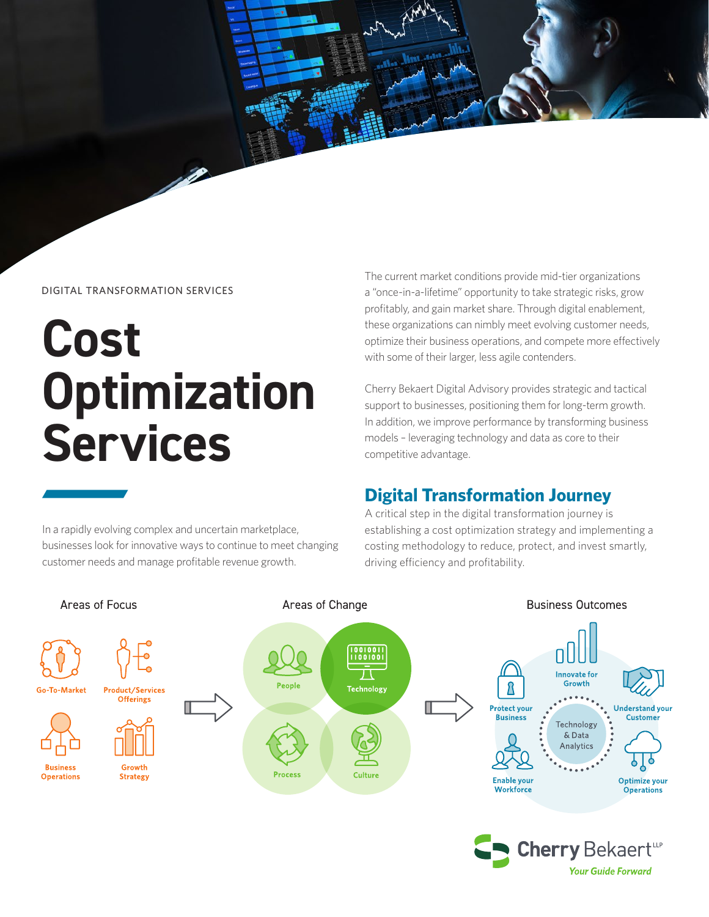

#### DIGITAL TRANSFORMATION SERVICES

# **Cost Optimization Services**

In a rapidly evolving complex and uncertain marketplace, businesses look for innovative ways to continue to meet changing customer needs and manage profitable revenue growth.

The current market conditions provide mid-tier organizations a "once-in-a-lifetime" opportunity to take strategic risks, grow profitably, and gain market share. Through digital enablement, these organizations can nimbly meet evolving customer needs, optimize their business operations, and compete more effectively with some of their larger, less agile contenders.

Cherry Bekaert Digital Advisory provides strategic and tactical support to businesses, positioning them for long-term growth. In addition, we improve performance by transforming business models – leveraging technology and data as core to their competitive advantage.

#### **Digital Transformation Journey**

A critical step in the digital transformation journey is establishing a cost optimization strategy and implementing a costing methodology to reduce, protect, and invest smartly, driving efficiency and profitability.